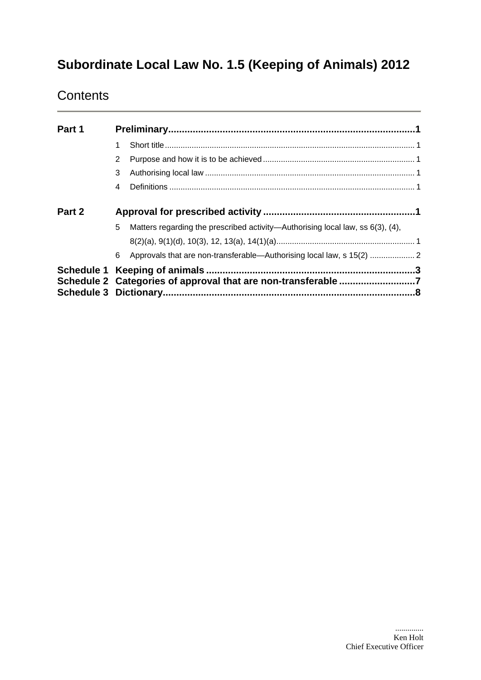# **Subordinate Local Law No. 1.5 (Keeping of Animals) 2012**

# **Contents**

| Part 1 |                                                                                           |  |  |
|--------|-------------------------------------------------------------------------------------------|--|--|
|        |                                                                                           |  |  |
|        | 2                                                                                         |  |  |
|        | 3                                                                                         |  |  |
|        | 4                                                                                         |  |  |
| Part 2 |                                                                                           |  |  |
|        | 5<br>Matters regarding the prescribed activity—Authorising local law, ss $6(3)$ , $(4)$ , |  |  |
|        |                                                                                           |  |  |
|        | Approvals that are non-transferable-Authorising local law, s 15(2)  2<br>6                |  |  |
|        |                                                                                           |  |  |
|        | Schedule 2 Categories of approval that are non-transferable 7                             |  |  |
|        |                                                                                           |  |  |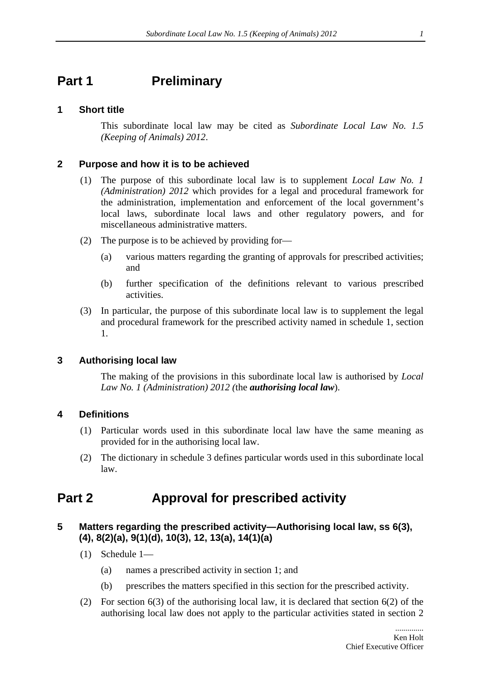# <span id="page-1-0"></span>**Part 1** Preliminary

### **1 Short title**

This subordinate local law may be cited as *Subordinate Local Law No. 1.5 (Keeping of Animals) 2012*.

### **2 Purpose and how it is to be achieved**

- (1) The purpose of this subordinate local law is to supplement *Local Law No. 1 (Administration) 2012* which provides for a legal and procedural framework for the administration, implementation and enforcement of the local government's local laws, subordinate local laws and other regulatory powers, and for miscellaneous administrative matters.
- (2) The purpose is to be achieved by providing for—
	- (a) various matters regarding the granting of approvals for prescribed activities; and
	- (b) further specification of the definitions relevant to various prescribed activities.
- (3) In particular, the purpose of this subordinate local law is to supplement the legal and procedural framework for the prescribed activity named in schedule 1, section 1.

### **3 Authorising local law**

The making of the provisions in this subordinate local law is authorised by *Local Law No. 1 (Administration) 2012 (*the *authorising local law*).

### **4 Definitions**

- (1) Particular words used in this subordinate local law have the same meaning as provided for in the authorising local law.
- (2) The dictionary in schedule 3 defines particular words used in this subordinate local law.

# **Part 2 Approval for prescribed activity**

# <span id="page-1-1"></span>**5 Matters regarding the prescribed activity—Authorising local law, ss 6(3), (4), 8(2)(a), 9(1)(d), 10(3), 12, 13(a), 14(1)(a)**

- (1) Schedule 1—
	- (a) names a prescribed activity in section 1; and
	- (b) prescribes the matters specified in this section for the prescribed activity.
- (2) For section 6(3) of the authorising local law, it is declared that section 6(2) of the authorising local law does not apply to the particular activities stated in section 2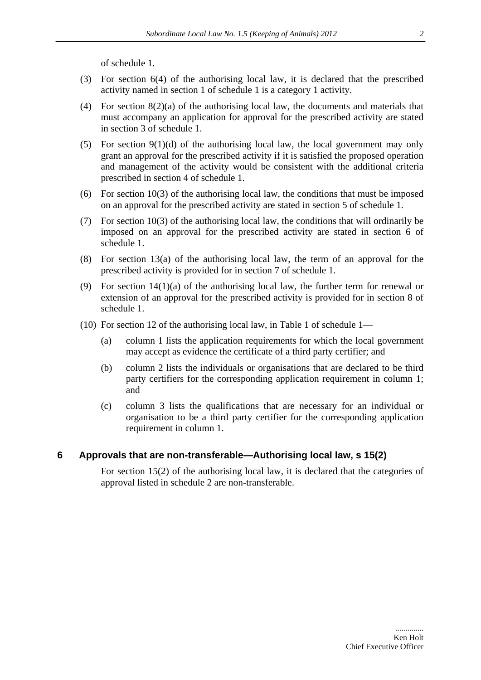of schedule 1.

- <span id="page-2-0"></span>(3) For section 6(4) of the authorising local law, it is declared that the prescribed activity named in section 1 of schedule 1 is a category 1 activity.
- (4) For section 8(2)(a) of the authorising local law, the documents and materials that must accompany an application for approval for the prescribed activity are stated in section 3 of schedule 1.
- (5) For section  $9(1)(d)$  of the authorising local law, the local government may only grant an approval for the prescribed activity if it is satisfied the proposed operation and management of the activity would be consistent with the additional criteria prescribed in section 4 of schedule 1.
- (6) For section 10(3) of the authorising local law, the conditions that must be imposed on an approval for the prescribed activity are stated in section 5 of schedule 1.
- (7) For section 10(3) of the authorising local law, the conditions that will ordinarily be imposed on an approval for the prescribed activity are stated in section 6 of schedule 1.
- (8) For section 13(a) of the authorising local law, the term of an approval for the prescribed activity is provided for in section 7 of schedule 1.
- (9) For section 14(1)(a) of the authorising local law, the further term for renewal or extension of an approval for the prescribed activity is provided for in section 8 of schedule 1.
- (10) For section 12 of the authorising local law, in Table 1 of schedule 1—
	- (a) column 1 lists the application requirements for which the local government may accept as evidence the certificate of a third party certifier; and
	- (b) column 2 lists the individuals or organisations that are declared to be third party certifiers for the corresponding application requirement in column 1; and
	- (c) column 3 lists the qualifications that are necessary for an individual or organisation to be a third party certifier for the corresponding application requirement in column 1.

#### <span id="page-2-1"></span>**6 Approvals that are non-transferable—Authorising local law, s 15(2)**

For section 15(2) of the authorising local law, it is declared that the categories of approval listed in schedule 2 are non-transferable.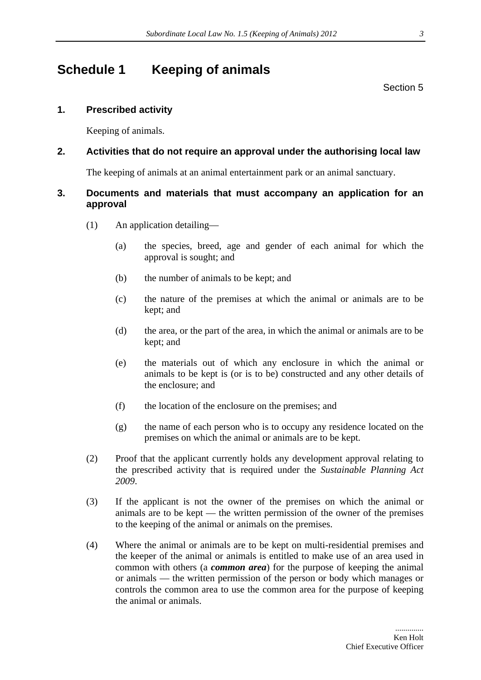# <span id="page-3-0"></span>**Schedule 1 Keeping of animals**

Section [5](#page-1-1) 

# **1. Prescribed activity**

Keeping of animals.

# **2. Activities that do not require an approval under the authorising local law**

The keeping of animals at an animal entertainment park or an animal sanctuary.

# **3. Documents and materials that must accompany an application for an approval**

- (1) An application detailing—
	- (a) the species, breed, age and gender of each animal for which the approval is sought; and
	- (b) the number of animals to be kept; and
	- (c) the nature of the premises at which the animal or animals are to be kept; and
	- (d) the area, or the part of the area, in which the animal or animals are to be kept; and
	- (e) the materials out of which any enclosure in which the animal or animals to be kept is (or is to be) constructed and any other details of the enclosure; and
	- (f) the location of the enclosure on the premises; and
	- (g) the name of each person who is to occupy any residence located on the premises on which the animal or animals are to be kept.
- (2) Proof that the applicant currently holds any development approval relating to the prescribed activity that is required under the *Sustainable Planning Act 2009*.
- (3) If the applicant is not the owner of the premises on which the animal or animals are to be kept — the written permission of the owner of the premises to the keeping of the animal or animals on the premises.
- (4) Where the animal or animals are to be kept on multi-residential premises and the keeper of the animal or animals is entitled to make use of an area used in common with others (a *common area*) for the purpose of keeping the animal or animals — the written permission of the person or body which manages or controls the common area to use the common area for the purpose of keeping the animal or animals.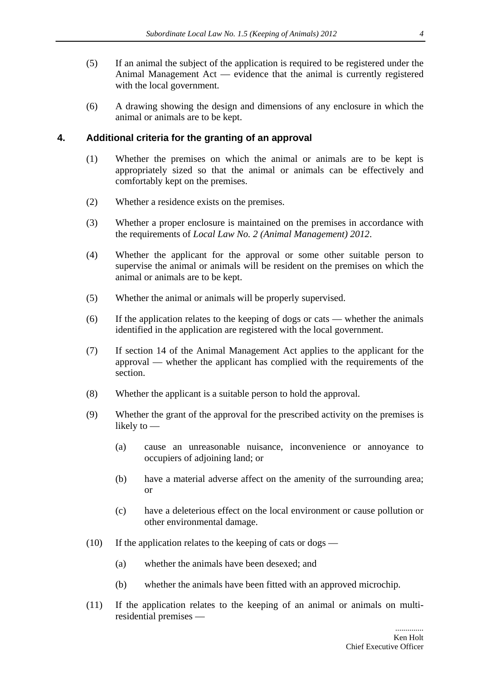- (5) If an animal the subject of the application is required to be registered under the Animal Management Act — evidence that the animal is currently registered with the local government.
- (6) A drawing showing the design and dimensions of any enclosure in which the animal or animals are to be kept.

#### **4. Additional criteria for the granting of an approval**

- (1) Whether the premises on which the animal or animals are to be kept is appropriately sized so that the animal or animals can be effectively and comfortably kept on the premises.
- (2) Whether a residence exists on the premises.
- (3) Whether a proper enclosure is maintained on the premises in accordance with the requirements of *Local Law No. 2 (Animal Management) 2012*.
- (4) Whether the applicant for the approval or some other suitable person to supervise the animal or animals will be resident on the premises on which the animal or animals are to be kept.
- (5) Whether the animal or animals will be properly supervised.
- (6) If the application relates to the keeping of dogs or cats whether the animals identified in the application are registered with the local government.
- (7) If section 14 of the Animal Management Act applies to the applicant for the approval — whether the applicant has complied with the requirements of the section.
- (8) Whether the applicant is a suitable person to hold the approval.
- (9) Whether the grant of the approval for the prescribed activity on the premises is likely to —
	- (a) cause an unreasonable nuisance, inconvenience or annoyance to occupiers of adjoining land; or
	- (b) have a material adverse affect on the amenity of the surrounding area; or
	- (c) have a deleterious effect on the local environment or cause pollution or other environmental damage.
- (10) If the application relates to the keeping of cats or dogs
	- (a) whether the animals have been desexed; and
	- (b) whether the animals have been fitted with an approved microchip.
- (11) If the application relates to the keeping of an animal or animals on multiresidential premises —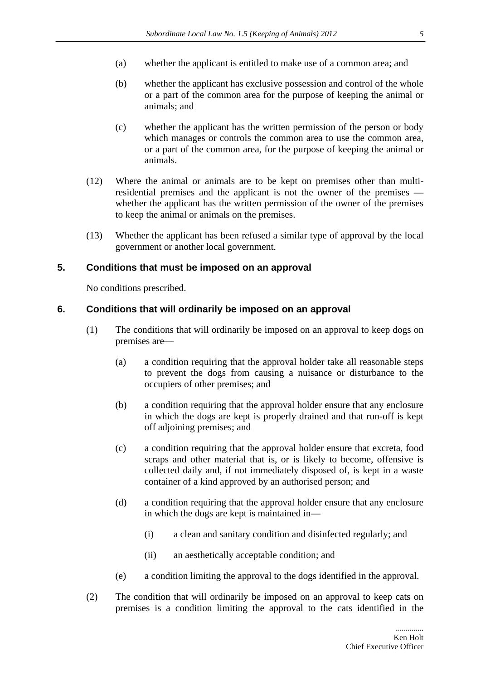- (a) whether the applicant is entitled to make use of a common area; and
- (b) whether the applicant has exclusive possession and control of the whole or a part of the common area for the purpose of keeping the animal or animals; and
- (c) whether the applicant has the written permission of the person or body which manages or controls the common area to use the common area, or a part of the common area, for the purpose of keeping the animal or animals.
- (12) Where the animal or animals are to be kept on premises other than multiresidential premises and the applicant is not the owner of the premises whether the applicant has the written permission of the owner of the premises to keep the animal or animals on the premises.
- (13) Whether the applicant has been refused a similar type of approval by the local government or another local government.

### **5. Conditions that must be imposed on an approval**

No conditions prescribed.

### **6. Conditions that will ordinarily be imposed on an approval**

- (1) The conditions that will ordinarily be imposed on an approval to keep dogs on premises are—
	- (a) a condition requiring that the approval holder take all reasonable steps to prevent the dogs from causing a nuisance or disturbance to the occupiers of other premises; and
	- (b) a condition requiring that the approval holder ensure that any enclosure in which the dogs are kept is properly drained and that run-off is kept off adjoining premises; and
	- (c) a condition requiring that the approval holder ensure that excreta, food scraps and other material that is, or is likely to become, offensive is collected daily and, if not immediately disposed of, is kept in a waste container of a kind approved by an authorised person; and
	- (d) a condition requiring that the approval holder ensure that any enclosure in which the dogs are kept is maintained in—
		- (i) a clean and sanitary condition and disinfected regularly; and
		- (ii) an aesthetically acceptable condition; and
	- (e) a condition limiting the approval to the dogs identified in the approval.
- (2) The condition that will ordinarily be imposed on an approval to keep cats on premises is a condition limiting the approval to the cats identified in the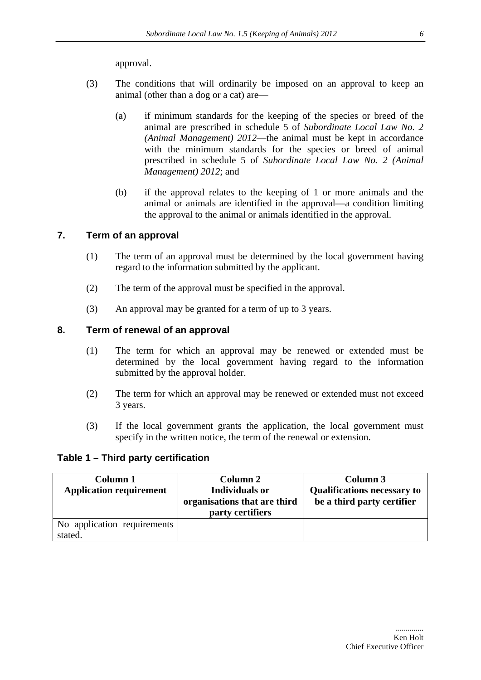approval.

- (3) The conditions that will ordinarily be imposed on an approval to keep an animal (other than a dog or a cat) are—
	- (a) if minimum standards for the keeping of the species or breed of the animal are prescribed in schedule 5 of *Subordinate Local Law No. 2 (Animal Management) 2012*—the animal must be kept in accordance with the minimum standards for the species or breed of animal prescribed in schedule 5 of *Subordinate Local Law No. 2 (Animal Management) 2012*; and
	- (b) if the approval relates to the keeping of 1 or more animals and the animal or animals are identified in the approval—a condition limiting the approval to the animal or animals identified in the approval.

### **7. Term of an approval**

- (1) The term of an approval must be determined by the local government having regard to the information submitted by the applicant.
- (2) The term of the approval must be specified in the approval.
- (3) An approval may be granted for a term of up to 3 years.

### **8. Term of renewal of an approval**

- (1) The term for which an approval may be renewed or extended must be determined by the local government having regard to the information submitted by the approval holder.
- (2) The term for which an approval may be renewed or extended must not exceed 3 years.
- (3) If the local government grants the application, the local government must specify in the written notice, the term of the renewal or extension.

### **Table 1 – Third party certification**

| Column 1                       | Column 2                     | Column 3                           |
|--------------------------------|------------------------------|------------------------------------|
| <b>Application requirement</b> | <b>Individuals or</b>        | <b>Qualifications necessary to</b> |
|                                | organisations that are third | be a third party certifier         |
|                                | party certifiers             |                                    |
| No application requirements    |                              |                                    |
| stated.                        |                              |                                    |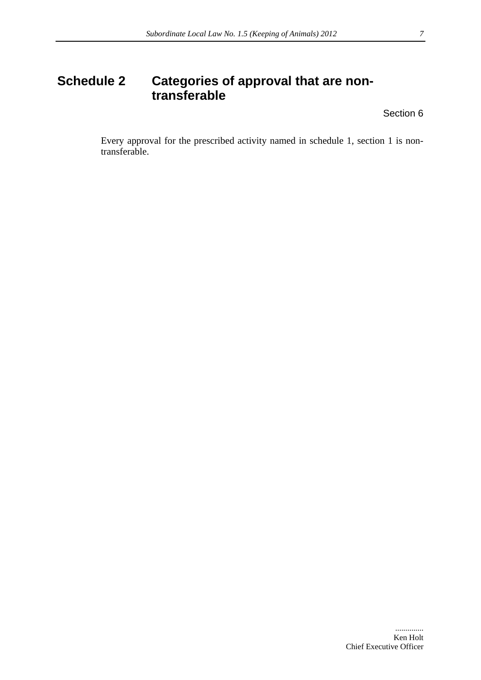# <span id="page-7-0"></span>**Schedule 2 Categories of approval that are nontransferable**

Section [6](#page-2-1) 

Every approval for the prescribed activity named in schedule 1, section 1 is nontransferable.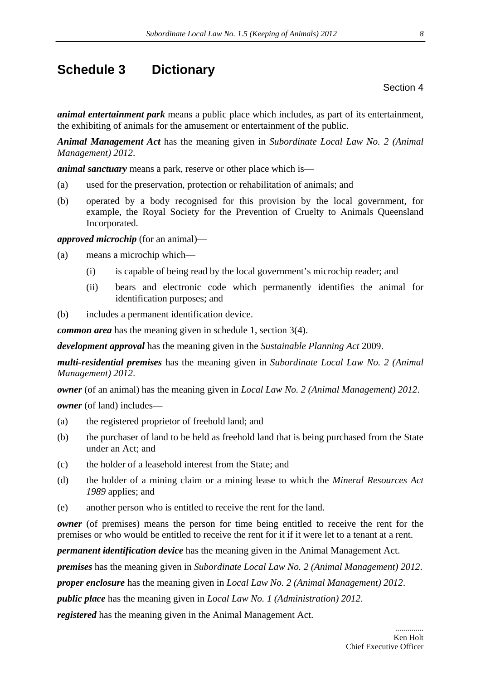# <span id="page-8-0"></span>**Schedule 3 Dictionary**

Section 4

*animal entertainment park* means a public place which includes, as part of its entertainment, the exhibiting of animals for the amusement or entertainment of the public.

*Animal Management Act* has the meaning given in *Subordinate Local Law No. 2 (Animal Management) 2012*.

*animal sanctuary* means a park, reserve or other place which is—

- (a) used for the preservation, protection or rehabilitation of animals; and
- (b) operated by a body recognised for this provision by the local government, for example, the Royal Society for the Prevention of Cruelty to Animals Queensland Incorporated.

*approved microchip* (for an animal)—

- (a) means a microchip which—
	- (i) is capable of being read by the local government's microchip reader; and
	- (ii) bears and electronic code which permanently identifies the animal for identification purposes; and
- (b) includes a permanent identification device.

*common area* has the meaning given in schedule 1, section 3(4).

*development approval* has the meaning given in the *Sustainable Planning Act* 2009.

*multi-residential premises* has the meaning given in *Subordinate Local Law No. 2 (Animal Management) 2012*.

*owner* (of an animal) has the meaning given in *Local Law No. 2 (Animal Management) 2012*.

*owner* (of land) includes—

- (a) the registered proprietor of freehold land; and
- (b) the purchaser of land to be held as freehold land that is being purchased from the State under an Act; and
- (c) the holder of a leasehold interest from the State; and
- (d) the holder of a mining claim or a mining lease to which the *Mineral Resources Act 1989* applies; and
- (e) another person who is entitled to receive the rent for the land.

*owner* (of premises) means the person for time being entitled to receive the rent for the premises or who would be entitled to receive the rent for it if it were let to a tenant at a rent.

*permanent identification device* has the meaning given in the Animal Management Act.

*premises* has the meaning given in *Subordinate Local Law No. 2 (Animal Management) 2012*.

*proper enclosure* has the meaning given in *Local Law No. 2 (Animal Management) 2012*.

*public place* has the meaning given in *Local Law No. 1 (Administration) 2012*.

*registered* has the meaning given in the Animal Management Act.